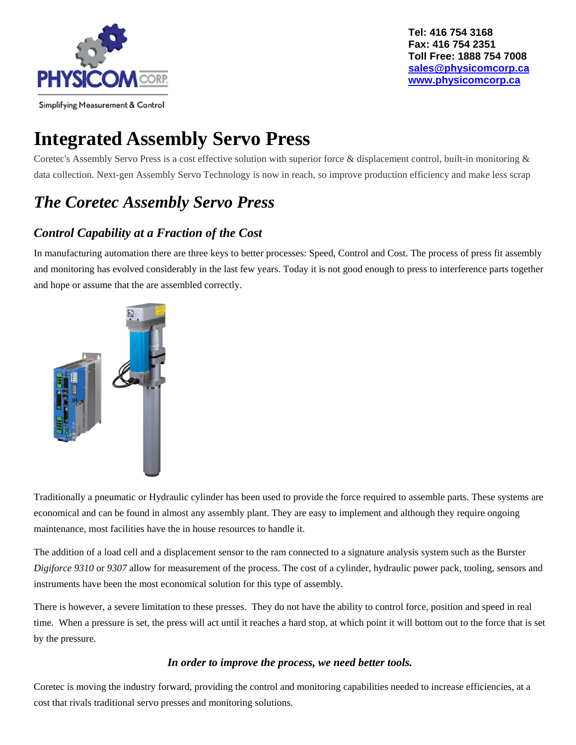

## **Integrated Assembly Servo Press**

Coretec's Assembly Servo Press is a cost effective solution with superior force & displacement control, built-in monitoring & data collection. Next-gen Assembly Servo Technology is now in reach, so improve production efficiency and make less scrap

### *The Coretec Assembly Servo Press*

### *Control Capability at a Fraction of the Cost*

In manufacturing automation there are three keys to better processes: Speed, Control and Cost. The process of press fit assembly and monitoring has evolved considerably in the last few years. Today it is not good enough to press to interference parts together and hope or assume that the are assembled correctly.



Traditionally a pneumatic or Hydraulic cylinder has been used to provide the force required to assemble parts. These systems are economical and can be found in almost any assembly plant. They are easy to implement and although they require ongoing maintenance, most facilities have the in house resources to handle it.

The addition of a load cell and a displacement sensor to the ram connected to a signature analysis system such as the Burster *Digiforce 9310* or 9307 allow for measurement of the process. The cost of a cylinder, hydraulic power pack, tooling, sensors and instruments have been the most economical solution for this type of assembly.

There is however, a severe limitation to these presses. They do not have the ability to control force, position and speed in real time. When a pressure is set, the press will act until it reaches a hard stop, at which point it will bottom out to the force that is set by the pressure.

#### *In order to improve the process, we need better tools.*

Coretec is moving the industry forward, providing the control and monitoring capabilities needed to increase efficiencies, at a cost that rivals traditional servo presses and monitoring solutions.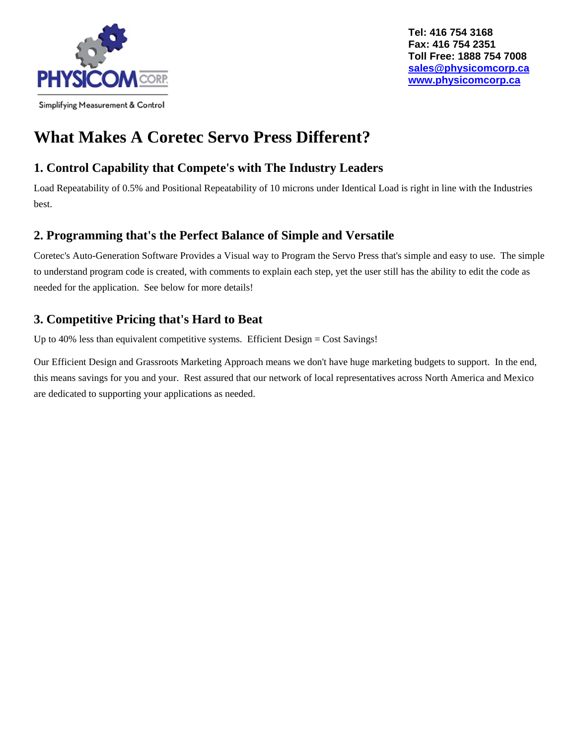

### **What Makes A Coretec Servo Press Different?**

### **1. Control Capability that Compete's with The Industry Leaders**

Load Repeatability of 0.5% and Positional Repeatability of 10 microns under Identical Load is right in line with the Industries best.

#### **2. Programming that's the Perfect Balance of Simple and Versatile**

Coretec's Auto-Generation Software Provides a Visual way to Program the Servo Press that's simple and easy to use. The simple to understand program code is created, with comments to explain each step, yet the user still has the ability to edit the code as needed for the application. See below for more details!

### **3. Competitive Pricing that's Hard to Beat**

Up to 40% less than equivalent competitive systems. Efficient Design = Cost Savings!

Our Efficient Design and Grassroots Marketing Approach means we don't have huge marketing budgets to support. In the end, this means savings for you and your. Rest assured that our network of local representatives across North America and Mexico are dedicated to supporting your applications as needed.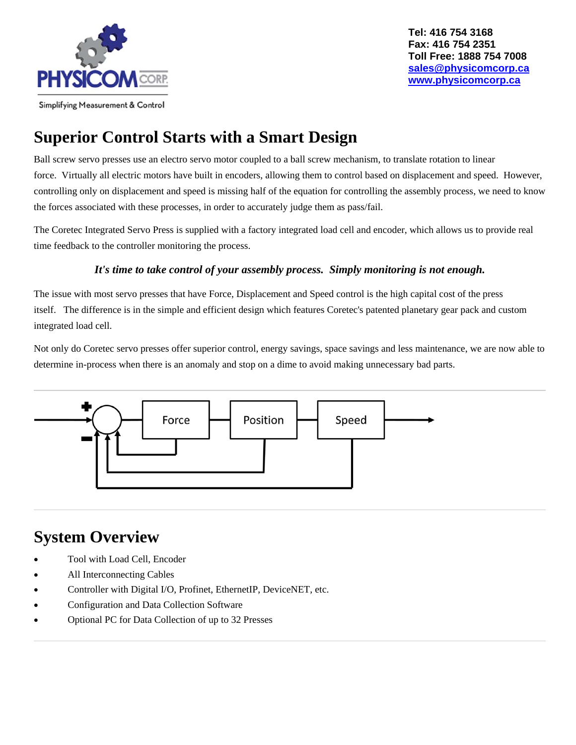

# **Superior Control Starts with a Smart Design**

Ball screw servo presses use an electro servo motor coupled to a ball screw mechanism, to translate rotation to linear force. Virtually all electric motors have built in encoders, allowing them to control based on displacement and speed. However, controlling only on displacement and speed is missing half of the equation for controlling the assembly process, we need to know the forces associated with these processes, in order to accurately judge them as pass/fail.

The Coretec Integrated Servo Press is supplied with a factory integrated load cell and encoder, which allows us to provide real time feedback to the controller monitoring the process.

#### *It's time to take control of your assembly process. Simply monitoring is not enough.*

The issue with most servo presses that have Force, Displacement and Speed control is the high capital cost of the press itself. The difference is in the simple and efficient design which features Coretec's patented planetary gear pack and custom integrated load cell.

Not only do Coretec servo presses offer superior control, energy savings, space savings and less maintenance, we are now able to determine in-process when there is an anomaly and stop on a dime to avoid making unnecessary bad parts.



### **System Overview**

- Tool with Load Cell, Encoder
- All Interconnecting Cables
- Controller with Digital I/O, Profinet, EthernetIP, DeviceNET, etc.
- Configuration and Data Collection Software
- Optional PC for Data Collection of up to 32 Presses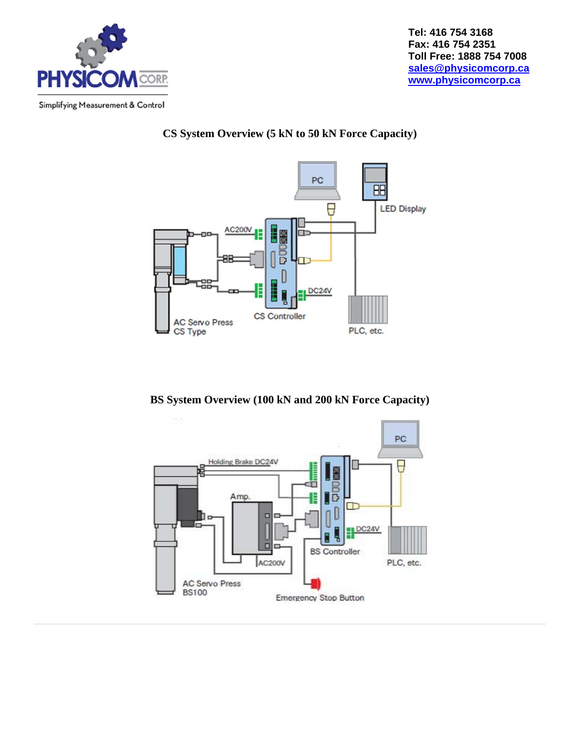

#### **CS System Overview (5 kN to 50 kN Force Capacity)**



**BS System Overview (100 kN and 200 kN Force Capacity)**

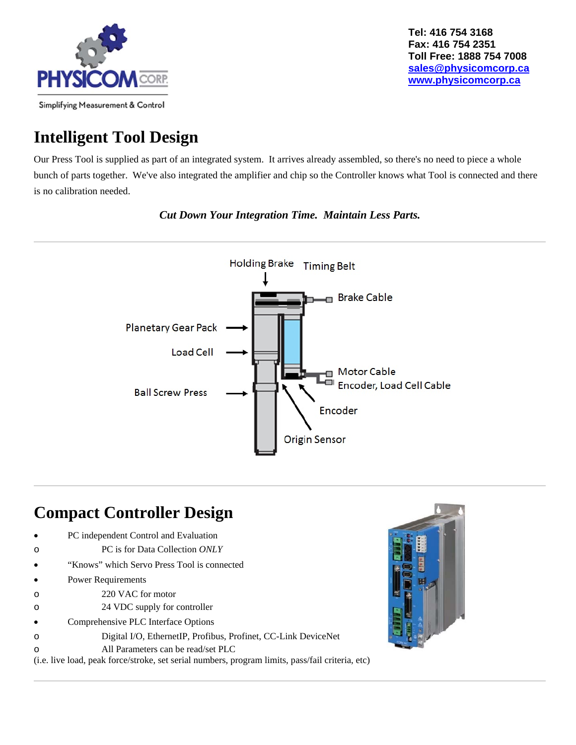

### **Intelligent Tool Design**

Our Press Tool is supplied as part of an integrated system. It arrives already assembled, so there's no need to piece a whole bunch of parts together. We've also integrated the amplifier and chip so the Controller knows what Tool is connected and there is no calibration needed.



*Cut Down Your Integration Time. Maintain Less Parts.*

### **Compact Controller Design**

- PC independent Control and Evaluation
- o PC is for Data Collection *ONLY*
- "Knows" which Servo Press Tool is connected
- Power Requirements
- o 220 VAC for motor
- o 24 VDC supply for controller
- Comprehensive PLC Interface Options
- o Digital I/O, EthernetIP, Profibus, Profinet, CC-Link DeviceNet
- o All Parameters can be read/set PLC

(i.e. live load, peak force/stroke, set serial numbers, program limits, pass/fail criteria, etc)

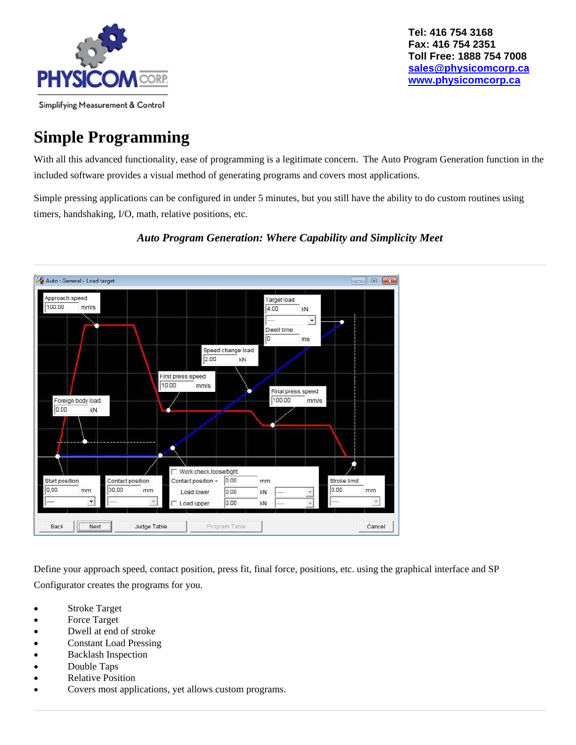

### **Simple Programming**

With all this advanced functionality, ease of programming is a legitimate concern. The Auto Program Generation function in the included software provides a visual method of generating programs and covers most applications.

Simple pressing applications can be configured in under 5 minutes, but you still have the ability to do custom routines using timers, handshaking, I/O, math, relative positions, etc.



#### *Auto Program Generation: Where Capability and Simplicity Meet*

Define your approach speed, contact position, press fit, final force, positions, etc. using the graphical interface and SP Configurator creates the programs for you.

- Stroke Target
- Force Target
- Dwell at end of stroke
- Constant Load Pressing
- Backlash Inspection
- Double Taps
- Relative Position
- Covers most applications, yet allows custom programs.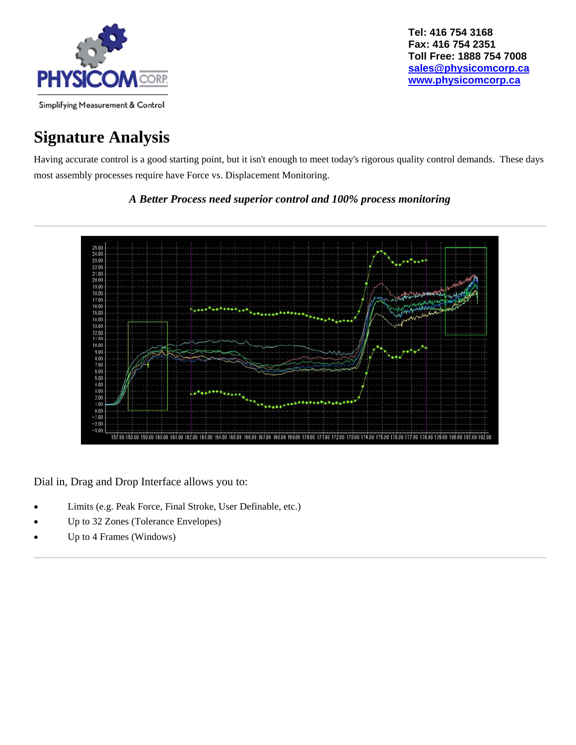

### **Signature Analysis**

Having accurate control is a good starting point, but it isn't enough to meet today's rigorous quality control demands. These days most assembly processes require have Force vs. Displacement Monitoring.

*A Better Process need superior control and 100% process monitoring*



Dial in, Drag and Drop Interface allows you to:

- Limits (e.g. Peak Force, Final Stroke, User Definable, etc.)
- Up to 32 Zones (Tolerance Envelopes)
- Up to 4 Frames (Windows)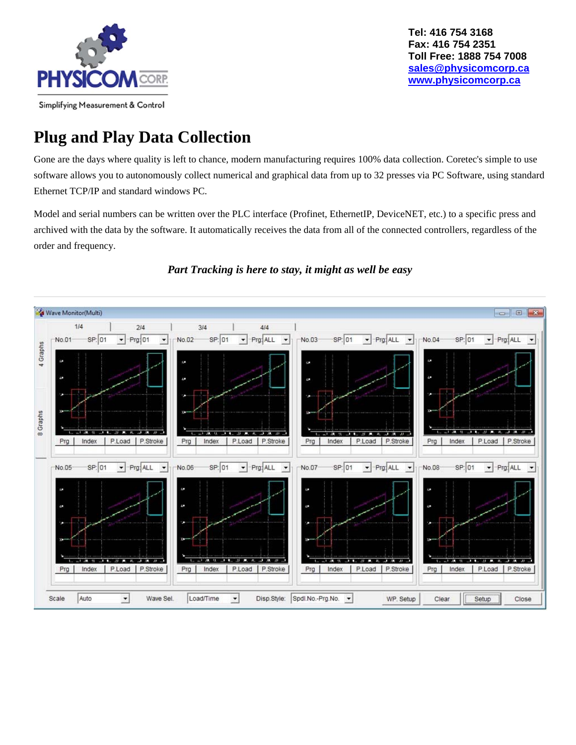

### **Plug and Play Data Collection**

Gone are the days where quality is left to chance, modern manufacturing requires 100% data collection. Coretec's simple to use software allows you to autonomously collect numerical and graphical data from up to 32 presses via PC Software, using standard Ethernet TCP/IP and standard windows PC.

Model and serial numbers can be written over the PLC interface (Profinet, EthernetIP, DeviceNET, etc.) to a specific press and archived with the data by the software. It automatically receives the data from all of the connected controllers, regardless of the order and frequency.



#### *Part Tracking is here to stay, it might as well be easy*